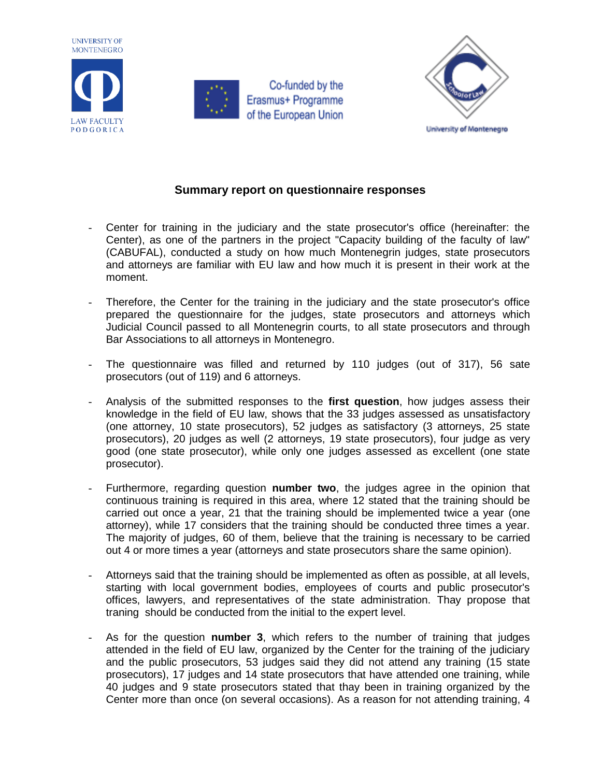





## **Summary report on questionnaire responses**

- Center for training in the judiciary and the state prosecutor's office (hereinafter: the Center), as one of the partners in the project "Capacity building of the faculty of law" (CABUFAL), conducted a study on how much Montenegrin judges, state prosecutors and attorneys are familiar with EU law and how much it is present in their work at the moment.
- Therefore, the Center for the training in the judiciary and the state prosecutor's office prepared the questionnaire for the judges, state prosecutors and attorneys which Judicial Council passed to all Montenegrin courts, to all state prosecutors and through Bar Associations to all attorneys in Montenegro.
- The questionnaire was filled and returned by 110 judges (out of 317), 56 sate prosecutors (out of 119) and 6 attorneys.
- Analysis of the submitted responses to the **first question**, how judges assess their knowledge in the field of EU law, shows that the 33 judges assessed as unsatisfactory (one attorney, 10 state prosecutors), 52 judges as satisfactory (3 attorneys, 25 state prosecutors), 20 judges as well (2 attorneys, 19 state prosecutors), four judge as very good (one state prosecutor), while only one judges assessed as excellent (one state prosecutor).
- Furthermore, regarding question **number two**, the judges agree in the opinion that continuous training is required in this area, where 12 stated that the training should be carried out once a year, 21 that the training should be implemented twice a year (one attorney), while 17 considers that the training should be conducted three times a year. The majority of judges, 60 of them, believe that the training is necessary to be carried out 4 or more times a year (attorneys and state prosecutors share the same opinion).
- Attorneys said that the training should be implemented as often as possible, at all levels, starting with local government bodies, employees of courts and public prosecutor's offices, lawyers, and representatives of the state administration. Thay propose that traning should be conducted from the initial to the expert level.
- As for the question **number 3**, which refers to the number of training that judges attended in the field of EU law, organized by the Center for the training of the judiciary and the public prosecutors, 53 judges said they did not attend any training (15 state prosecutors), 17 judges and 14 state prosecutors that have attended one training, while 40 judges and 9 state prosecutors stated that thay been in training organized by the Center more than once (on several occasions). As a reason for not attending training, 4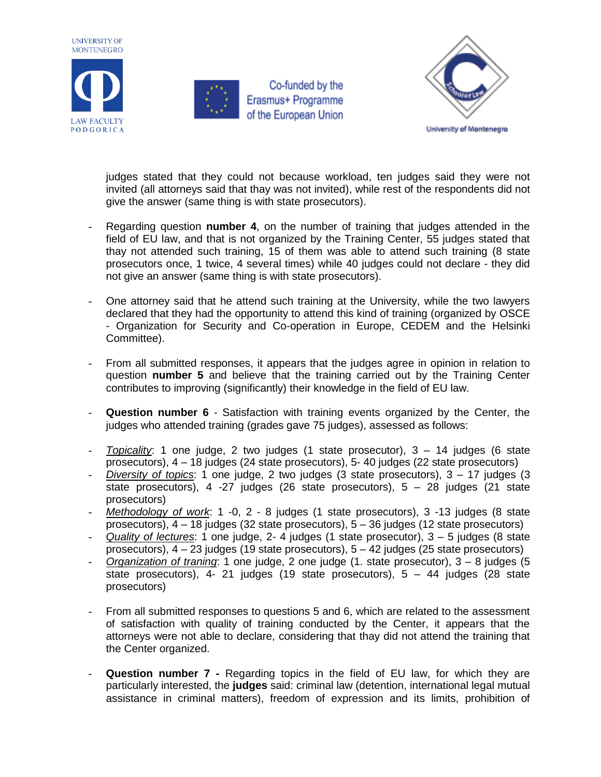



Co-funded by the Erasmus+ Programme of the European Union



judges stated that they could not because workload, ten judges said they were not invited (all attorneys said that thay was not invited), while rest of the respondents did not give the answer (same thing is with state prosecutors).

- Regarding question **number 4**, on the number of training that judges attended in the field of EU law, and that is not organized by the Training Center, 55 judges stated that thay not attended such training, 15 of them was able to attend such training (8 state prosecutors once, 1 twice, 4 several times) while 40 judges could not declare - they did not give an answer (same thing is with state prosecutors).
- One attorney said that he attend such training at the University, while the two lawyers declared that they had the opportunity to attend this kind of training (organized by OSCE - Organization for Security and Co-operation in Europe, CEDEM and the Helsinki Committee).
- From all submitted responses, it appears that the judges agree in opinion in relation to question **number 5** and believe that the training carried out by the Training Center contributes to improving (significantly) their knowledge in the field of EU law.
- **Question number 6** Satisfaction with training events organized by the Center, the judges who attended training (grades gave 75 judges), assessed as follows:
- *Topicality*: 1 one judge, 2 two judges (1 state prosecutor), 3 14 judges (6 state prosecutors), 4 – 18 judges (24 state prosecutors), 5- 40 judges (22 state prosecutors)
- *Diversity of topics*: 1 one judge, 2 two judges (3 state prosecutors), 3 17 judges (3 state prosecutors),  $4 -27$  judges (26 state prosecutors),  $5 - 28$  judges (21 state prosecutors)
- *Methodology of work*: 1 -0, 2 8 judges (1 state prosecutors), 3 -13 judges (8 state prosecutors), 4 – 18 judges (32 state prosecutors), 5 – 36 judges (12 state prosecutors)
- *Quality of lectures*: 1 one judge, 2- 4 judges (1 state prosecutor), 3 5 judges (8 state prosecutors), 4 – 23 judges (19 state prosecutors), 5 – 42 judges (25 state prosecutors)
- *Organization of traning*: 1 one judge, 2 one judge (1. state prosecutor), 3 8 judges (5 state prosecutors),  $4 - 21$  judges (19 state prosecutors),  $5 - 44$  judges (28 state prosecutors)
- From all submitted responses to questions 5 and 6, which are related to the assessment of satisfaction with quality of training conducted by the Center, it appears that the attorneys were not able to declare, considering that thay did not attend the training that the Center organized.
- Question number 7 Regarding topics in the field of EU law, for which they are particularly interested, the **judges** said: criminal law (detention, international legal mutual assistance in criminal matters), freedom of expression and its limits, prohibition of